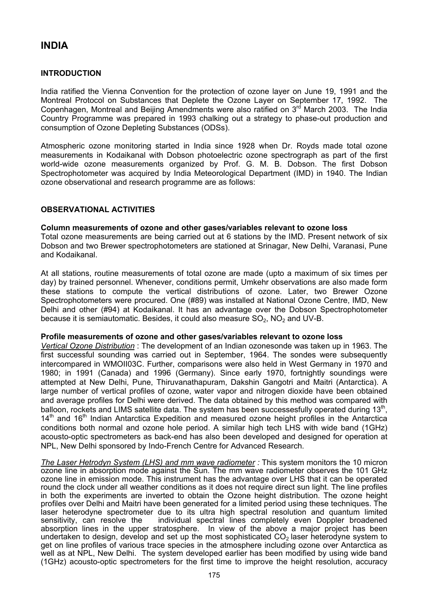# **INDIA**

# **INTRODUCTION**

India ratified the Vienna Convention for the protection of ozone layer on June 19, 1991 and the Montreal Protocol on Substances that Deplete the Ozone Layer on September 17, 1992. The Copenhagen, Montreal and Beijing Amendments were also ratified on  $3<sup>rd</sup>$  March 2003. The India Country Programme was prepared in 1993 chalking out a strategy to phase-out production and consumption of Ozone Depleting Substances (ODSs).

Atmospheric ozone monitoring started in India since 1928 when Dr. Royds made total ozone measurements in Kodaikanal with Dobson photoelectric ozone spectrograph as part of the first world-wide ozone measurements organized by Prof. G. M. B. Dobson. The first Dobson Spectrophotometer was acquired by India Meteorological Department (IMD) in 1940. The Indian ozone observational and research programme are as follows:

# **OBSERVATIONAL ACTIVITIES**

#### **Column measurements of ozone and other gases/variables relevant to ozone loss**

Total ozone measurements are being carried out at 6 stations by the IMD. Present network of six Dobson and two Brewer spectrophotometers are stationed at Srinagar, New Delhi, Varanasi, Pune and Kodaikanal.

At all stations, routine measurements of total ozone are made (upto a maximum of six times per day) by trained personnel. Whenever, conditions permit, Umkehr observations are also made form these stations to compute the vertical distributions of ozone. Later, two Brewer Ozone Spectrophotometers were procured. One (#89) was installed at National Ozone Centre, IMD, New Delhi and other (#94) at Kodaikanal. It has an advantage over the Dobson Spectrophotometer because it is semiautomatic. Besides, it could also measure  $SO_2$ , NO<sub>2</sub> and UV-B.

#### **Profile measurements of ozone and other gases/variables relevant to ozone loss**

*Vertical Ozone Distribution* : The development of an Indian ozonesonde was taken up in 1963. The first successful sounding was carried out in September, 1964. The sondes were subsequently intercompared in WMOII03C. Further, comparisons were also held in West Germany in 1970 and 1980; in 1991 (Canada) and 1996 (Germany). Since early 1970, fortnightly soundings were attempted at New Delhi, Pune, Thiruvanathapuram, Dakshin Gangotri and Maitri (Antarctica). A large number of vertical profiles of ozone, water vapor and nitrogen dioxide have been obtained and average profiles for Delhi were derived. The data obtained by this method was compared with balloon, rockets and LIMS satellite data. The system has been successesfully operated during  $13<sup>th</sup>$ ,  $14<sup>th</sup>$  and  $16<sup>th</sup>$  Indian Antarctica Expedition and measured ozone height profiles in the Antarctica conditions both normal and ozone hole period. A similar high tech LHS with wide band (1GHz) acousto-optic spectrometers as back-end has also been developed and designed for operation at NPL, New Delhi sponsored by Indo-French Centre for Advanced Research.

*The Laser Hetrodyn System (LHS) and mm wave radiometer : This system monitors the 10 micron* ozone line in absorption mode against the Sun. The mm wave radiometer observes the 101 GHz ozone line in emission mode. This instrument has the advantage over LHS that it can be operated round the clock under all weather conditions as it does not require direct sun light. The line profiles in both the experiments are inverted to obtain the Ozone height distribution. The ozone height profiles over Delhi and Maitri have been generated for a limited period using these techniques. The laser heterodyne spectrometer due to its ultra high spectral resolution and quantum limited sensitivity, can resolve the individual spectral lines completely even Doppler broadened absorption lines in the upper stratosphere. In view of the above a major project has been undertaken to design, develop and set up the most sophisticated  $CO<sub>2</sub>$  laser heterodyne system to get on line profiles of various trace species in the atmosphere including ozone over Antarctica as well as at NPL, New Delhi. The system developed earlier has been modified by using wide band (1GHz) acousto-optic spectrometers for the first time to improve the height resolution, accuracy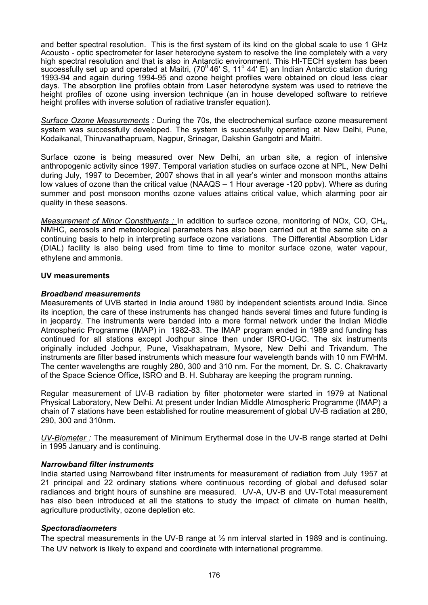and better spectral resolution. This is the first system of its kind on the global scale to use 1 GHz Acousto - optic spectrometer for laser heterodyne system to resolve the line completely with a very high spectral resolution and that is also in Antarctic environment. This HI-TECH system has been successfully set up and operated at Maitri, (70<sup>0</sup> 46' S, 11° 44' E) an Indian Antarctic station during 1993-94 and again during 1994-95 and ozone height profiles were obtained on cloud less clear days. The absorption line profiles obtain from Laser heterodyne system was used to retrieve the height profiles of ozone using inversion technique (an in house developed software to retrieve height profiles with inverse solution of radiative transfer equation).

*Surface Ozone Measurements :* During the 70s, the electrochemical surface ozone measurement system was successfully developed. The system is successfully operating at New Delhi, Pune, Kodaikanal, Thiruvanathapruam, Nagpur, Srinagar, Dakshin Gangotri and Maitri.

Surface ozone is being measured over New Delhi, an urban site, a region of intensive anthropogenic activity since 1997. Temporal variation studies on surface ozone at NPL, New Delhi during July, 1997 to December, 2007 shows that in all year's winter and monsoon months attains low values of ozone than the critical value (NAAQS – 1 Hour average -120 ppbv). Where as during summer and post monsoon months ozone values attains critical value, which alarming poor air quality in these seasons.

*Measurement of Minor Constituents* : In addition to surface ozone, monitoring of NOx, CO, CH<sub>4</sub>, NMHC, aerosols and meteorological parameters has also been carried out at the same site on a continuing basis to help in interpreting surface ozone variations. The Differential Absorption Lidar (DIAL) facility is also being used from time to time to monitor surface ozone, water vapour, ethylene and ammonia.

## **UV measurements**

# *Broadband measurements*

Measurements of UVB started in India around 1980 by independent scientists around India. Since its inception, the care of these instruments has changed hands several times and future funding is in jeopardy. The instruments were banded into a more formal network under the Indian Middle Atmospheric Programme (IMAP) in 1982-83. The IMAP program ended in 1989 and funding has continued for all stations except Jodhpur since then under ISRO-UGC. The six instruments originally included Jodhpur, Pune, Visakhapatnam, Mysore, New Delhi and Trivandum. The instruments are filter based instruments which measure four wavelength bands with 10 nm FWHM. The center wavelengths are roughly 280, 300 and 310 nm. For the moment, Dr. S. C. Chakravarty of the Space Science Office, ISRO and B. H. Subharay are keeping the program running.

Regular measurement of UV-B radiation by filter photometer were started in 1979 at National Physical Laboratory, New Delhi. At present under Indian Middle Atmospheric Programme (IMAP) a chain of 7 stations have been established for routine measurement of global UV-B radiation at 280, 290, 300 and 310nm.

*UV-Biometer :* The measurement of Minimum Erythermal dose in the UV-B range started at Delhi in 1995 January and is continuing.

# *Narrowband filter instruments*

India started using Narrowband filter instruments for measurement of radiation from July 1957 at 21 principal and 22 ordinary stations where continuous recording of global and defused solar radiances and bright hours of sunshine are measured. UV-A, UV-B and UV-Total measurement has also been introduced at all the stations to study the impact of climate on human health, agriculture productivity, ozone depletion etc.

# *Spectoradiaometers*

The spectral measurements in the UV-B range at ½ nm interval started in 1989 and is continuing. The UV network is likely to expand and coordinate with international programme.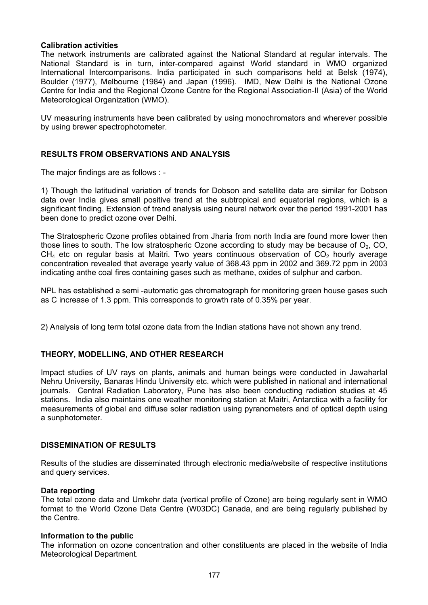#### **Calibration activities**

The network instruments are calibrated against the National Standard at regular intervals. The National Standard is in turn, inter-compared against World standard in WMO organized International Intercomparisons. India participated in such comparisons held at Belsk (1974), Boulder (1977), Melbourne (1984) and Japan (1996). IMD, New Delhi is the National Ozone Centre for India and the Regional Ozone Centre for the Regional Association-II (Asia) of the World Meteorological Organization (WMO).

UV measuring instruments have been calibrated by using monochromators and wherever possible by using brewer spectrophotometer.

# **RESULTS FROM OBSERVATIONS AND ANALYSIS**

The major findings are as follows : -

1) Though the latitudinal variation of trends for Dobson and satellite data are similar for Dobson data over India gives small positive trend at the subtropical and equatorial regions, which is a significant finding. Extension of trend analysis using neural network over the period 1991-2001 has been done to predict ozone over Delhi.

The Stratospheric Ozone profiles obtained from Jharia from north India are found more lower then those lines to south. The low stratospheric Ozone according to study may be because of  $O<sub>2</sub>$ , CO,  $CH<sub>4</sub>$  etc on regular basis at Maitri. Two years continuous observation of  $CO<sub>2</sub>$  hourly average concentration revealed that average yearly value of 368.43 ppm in 2002 and 369.72 ppm in 2003 indicating anthe coal fires containing gases such as methane, oxides of sulphur and carbon.

NPL has established a semi -automatic gas chromatograph for monitoring green house gases such as C increase of 1.3 ppm. This corresponds to growth rate of 0.35% per year.

2) Analysis of long term total ozone data from the Indian stations have not shown any trend.

# **THEORY, MODELLING, AND OTHER RESEARCH**

Impact studies of UV rays on plants, animals and human beings were conducted in Jawaharlal Nehru University, Banaras Hindu University etc. which were published in national and international journals. Central Radiation Laboratory, Pune has also been conducting radiation studies at 45 stations. India also maintains one weather monitoring station at Maitri, Antarctica with a facility for measurements of global and diffuse solar radiation using pyranometers and of optical depth using a sunphotometer.

# **DISSEMINATION OF RESULTS**

Results of the studies are disseminated through electronic media/website of respective institutions and query services.

# **Data reporting**

The total ozone data and Umkehr data (vertical profile of Ozone) are being regularly sent in WMO format to the World Ozone Data Centre (W03DC) Canada, and are being regularly published by the Centre.

#### **Information to the public**

The information on ozone concentration and other constituents are placed in the website of India Meteorological Department.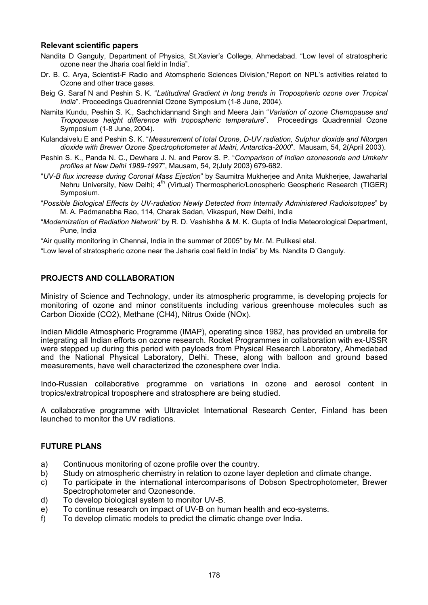## **Relevant scientific papers**

- Nandita D Ganguly, Department of Physics, St.Xavier's College, Ahmedabad. "Low level of stratospheric ozone near the Jharia coal field in India".
- Dr. B. C. Arya, Scientist-F Radio and Atomspheric Sciences Division,"Report on NPL's activities related to Ozone and other trace gases.
- Beig G. Saraf N and Peshin S. K. "*Latitudinal Gradient in long trends in Tropospheric ozone over Tropical India*". Proceedings Quadrennial Ozone Symposium (1-8 June, 2004).
- Namita Kundu, Peshin S. K., Sachchidannand Singh and Meera Jain "*Variation of ozone Chemopause and Tropopause height difference with tropospheric temperature*". Proceedings Quadrennial Ozone Symposium (1-8 June, 2004).
- Kulandaivelu E and Peshin S. K. "*Measurement of total Ozone, D-UV radiation, Sulphur dioxide and Nitorgen dioxide with Brewer Ozone Spectrophotometer at Maitri, Antarctica-2000*". Mausam, 54, 2(April 2003).
- Peshin S. K., Panda N. C., Dewhare J. N. and Perov S. P. "*Comparison of Indian ozonesonde and Umkehr profiles at New Delhi 1989-1997*", Mausam, 54, 2(July 2003) 679-682.
- "*UV-B flux increase during Coronal Mass Ejection*" by Saumitra Mukherjee and Anita Mukherjee, Jawaharlal Nehru University, New Delhi; 4<sup>th</sup> (Virtual) Thermospheric/Lonospheric Geospheric Research (TIGER) Symposium.
- "*Possible Biological Effects by UV-radiation Newly Detected from Internally Administered Radioisotopes*" by M. A. Padmanabha Rao, 114, Charak Sadan, Vikaspuri, New Delhi, India
- "*Modernization of Radiation Network*" by R. D. Vashishha & M. K. Gupta of India Meteorological Department, Pune, India

"Air quality monitoring in Chennai, India in the summer of 2005" by Mr. M. Pulikesi etal.

"Low level of stratospheric ozone near the Jaharia coal field in India" by Ms. Nandita D Ganguly.

# **PROJECTS AND COLLABORATION**

Ministry of Science and Technology, under its atmospheric programme, is developing projects for monitoring of ozone and minor constituents including various greenhouse molecules such as Carbon Dioxide (CO2), Methane (CH4), Nitrus Oxide (NOx).

Indian Middle Atmospheric Programme (IMAP), operating since 1982, has provided an umbrella for integrating all Indian efforts on ozone research. Rocket Programmes in collaboration with ex-USSR were stepped up during this period with payloads from Physical Research Laboratory, Ahmedabad and the National Physical Laboratory, Delhi. These, along with balloon and ground based measurements, have well characterized the ozonesphere over India.

Indo-Russian collaborative programme on variations in ozone and aerosol content in tropics/extratropical troposphere and stratosphere are being studied.

A collaborative programme with [Ultraviolet International Research Center](http://fuvirc.oulu.fi/pages/archive.htm), Finland has been launched to monitor the UV radiations.

# **FUTURE PLANS**

- a) Continuous monitoring of ozone profile over the country.
- b) Study on atmospheric chemistry in relation to ozone layer depletion and climate change.
- c) To participate in the international intercomparisons of Dobson Spectrophotometer, Brewer Spectrophotometer and Ozonesonde.
- d) To develop biological system to monitor UV-B.
- e) To continue research on impact of UV-B on human health and eco-systems.
- f) To develop climatic models to predict the climatic change over India.